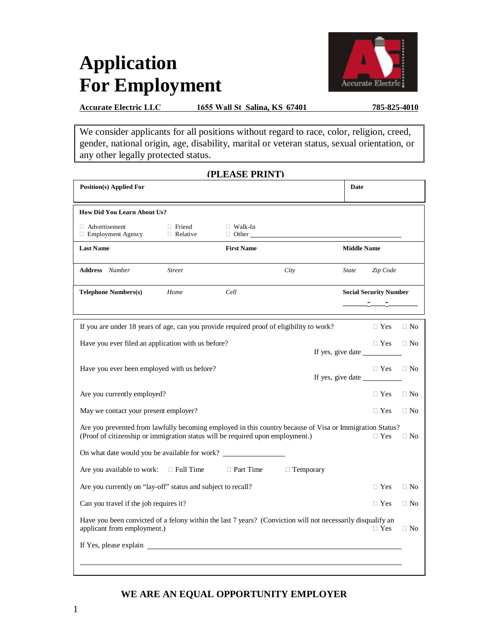### **Application For Employment**



**Accurate Electric LLC 1655 Wall St Salina, KS 67401 785-825-4010**

We consider applicants for all positions without regard to race, color, religion, creed, gender, national origin, age, disability, marital or veteran status, sexual orientation, or any other legally protected status.

**(PLEASE PRINT)**

|                                                                                                                                                                                            |                                  | <u>(LLEASE LAIN L)</u>         |                  |                    |                                 |           |
|--------------------------------------------------------------------------------------------------------------------------------------------------------------------------------------------|----------------------------------|--------------------------------|------------------|--------------------|---------------------------------|-----------|
| <b>Position(s) Applied For</b>                                                                                                                                                             |                                  |                                |                  | <b>Date</b>        |                                 |           |
| <b>How Did You Learn About Us?</b>                                                                                                                                                         |                                  |                                |                  |                    |                                 |           |
| $\Box$ Advertisement<br>$\Box$ Employment Agency                                                                                                                                           | $\Box$ Friend<br>$\Box$ Relative | $\Box$ Walk-In<br>$\Box$ Other |                  |                    |                                 |           |
| <b>Last Name</b>                                                                                                                                                                           |                                  | <b>First Name</b>              |                  | <b>Middle Name</b> |                                 |           |
| <b>Address</b> Number                                                                                                                                                                      | <b>Street</b>                    |                                | City             | <b>State</b>       | Zip Code                        |           |
| <b>Telephone Numbers(s)</b>                                                                                                                                                                | Home                             | Cell                           |                  |                    | <b>Social Security Number</b>   |           |
| If you are under 18 years of age, can you provide required proof of eligibility to work?                                                                                                   |                                  |                                |                  |                    | $\Box$ Yes                      | $\Box$ No |
| Have you ever filed an application with us before?                                                                                                                                         |                                  |                                |                  |                    | $\Box$ Yes<br>If yes, give date | $\Box$ No |
| Have you ever been employed with us before?                                                                                                                                                |                                  |                                |                  |                    | $\Box$ Yes<br>If yes, give date | $\Box$ No |
| Are you currently employed?                                                                                                                                                                |                                  |                                |                  |                    | $\Box$ Yes                      | $\Box$ No |
| May we contact your present employer?                                                                                                                                                      |                                  |                                |                  |                    | $\Box$ Yes                      | $\Box$ No |
| Are you prevented from lawfully becoming employed in this country because of Visa or Immigration Status?<br>(Proof of citizenship or immigration status will be required upon employment.) |                                  |                                |                  |                    | $\Box$ Yes                      | $\Box$ No |
| On what date would you be available for work?                                                                                                                                              |                                  |                                |                  |                    |                                 |           |
| Are you available to work:                                                                                                                                                                 | $\Box$ Full Time                 | □ Part Time                    | $\Box$ Temporary |                    |                                 |           |
| Are you currently on "lay-off" status and subject to recall?                                                                                                                               |                                  |                                |                  |                    | $\Box$ Yes                      | $\Box$ No |
| Can you travel if the job requires it?                                                                                                                                                     |                                  |                                |                  |                    | $\Box$ Yes                      | $\Box$ No |
| Have you been convicted of a felony within the last 7 years? (Conviction will not necessarily disqualify an<br>applicant from employment.)                                                 |                                  |                                |                  |                    | $\Box$ Yes                      | $\Box$ No |
|                                                                                                                                                                                            |                                  |                                |                  |                    |                                 |           |
|                                                                                                                                                                                            |                                  |                                |                  |                    |                                 |           |

### **WE ARE AN EQUAL OPPORTUNITY EMPLOYER**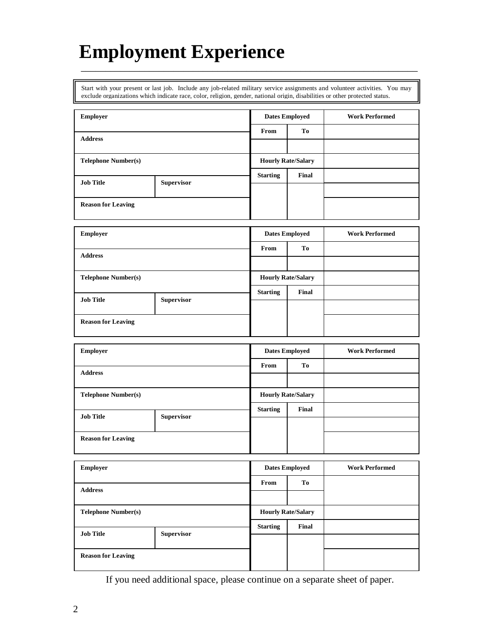### **Employment Experience**

Start with your present or last job. Include any job-related military service assignments and volunteer activities. You may exclude organizations which indicate race, color, religion, gender, national origin, disabilities or other protected status.

\_\_\_\_\_\_\_\_\_\_\_\_\_\_\_\_\_\_\_\_\_\_\_\_\_\_\_\_\_\_\_\_\_\_\_\_\_\_\_\_\_\_\_\_\_\_\_\_\_\_\_\_\_\_\_\_\_\_\_\_\_\_\_\_\_\_\_\_\_

| <b>Employer</b>            |  |                 | <b>Dates Employed</b>     | <b>Work Performed</b> |
|----------------------------|--|-----------------|---------------------------|-----------------------|
| <b>Address</b>             |  | From            | <b>To</b>                 |                       |
|                            |  |                 |                           |                       |
| <b>Telephone Number(s)</b> |  |                 | <b>Hourly Rate/Salary</b> |                       |
| <b>Job Title</b>           |  | <b>Starting</b> | Final                     |                       |
| <b>Supervisor</b>          |  |                 |                           |                       |
| <b>Reason for Leaving</b>  |  |                 |                           |                       |

| <b>Employer</b>                       |  | <b>Dates Employed</b>     |       | <b>Work Performed</b> |
|---------------------------------------|--|---------------------------|-------|-----------------------|
| <b>Address</b>                        |  | From                      | To    |                       |
|                                       |  |                           |       |                       |
| <b>Telephone Number(s)</b>            |  | <b>Hourly Rate/Salary</b> |       |                       |
| <b>Job Title</b><br><b>Supervisor</b> |  | <b>Starting</b>           | Final |                       |
|                                       |  |                           |       |                       |
| <b>Reason for Leaving</b>             |  |                           |       |                       |

| <b>Employer</b>                       |  |                         | <b>Work Performed</b>                              |
|---------------------------------------|--|-------------------------|----------------------------------------------------|
| <b>Address</b>                        |  | Tо                      |                                                    |
|                                       |  |                         |                                                    |
| <b>Telephone Number(s)</b>            |  |                         |                                                    |
| <b>Job Title</b><br><b>Supervisor</b> |  | Final                   |                                                    |
|                                       |  |                         |                                                    |
| <b>Reason for Leaving</b>             |  |                         |                                                    |
|                                       |  | From<br><b>Starting</b> | <b>Dates Employed</b><br><b>Hourly Rate/Salary</b> |

| <b>Employer</b>                       |  |                 | <b>Dates Employed</b>     | <b>Work Performed</b> |
|---------------------------------------|--|-----------------|---------------------------|-----------------------|
| <b>Address</b>                        |  | From            | To                        |                       |
|                                       |  |                 |                           |                       |
| <b>Telephone Number(s)</b>            |  |                 | <b>Hourly Rate/Salary</b> |                       |
| <b>Job Title</b><br><b>Supervisor</b> |  | <b>Starting</b> | Final                     |                       |
|                                       |  |                 |                           |                       |
| <b>Reason for Leaving</b>             |  |                 |                           |                       |
|                                       |  |                 |                           |                       |

If you need additional space, please continue on a separate sheet of paper.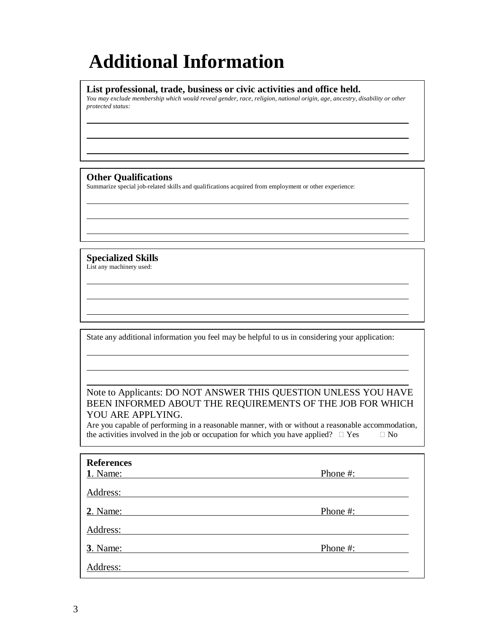## **Additional Information**

#### **List professional, trade, business or civic activities and office held.**

*You may exclude membership which would reveal gender, race, religion, national origin, age, ancestry, disability or other protected status:* 

#### **Other Qualifications**

Summarize special job-related skills and qualifications acquired from employment or other experience:

**Specialized Skills**  List any machinery used:

State any additional information you feel may be helpful to us in considering your application:

#### Note to Applicants: DO NOT ANSWER THIS QUESTION UNLESS YOU HAVE BEEN INFORMED ABOUT THE REQUIREMENTS OF THE JOB FOR WHICH YOU ARE APPLYING.

Are you capable of performing in a reasonable manner, with or without a reasonable accommodation, the activities involved in the job or occupation for which you have applied?  $\Box$  Yes  $\Box$  No

| <b>References</b> |          |
|-------------------|----------|
| 1. Name:          | Phone #: |
| Address:          |          |
| 2. Name:          | Phone #: |
| Address:          |          |
| 3. Name:          | Phone #: |
| Address:          |          |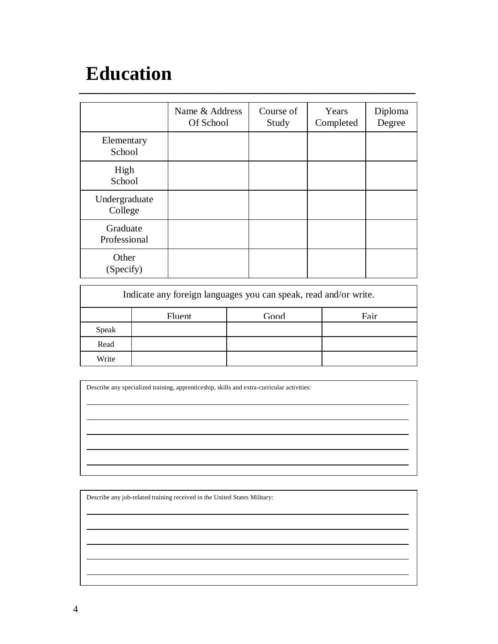### **Education**

|                          | Name & Address<br>Of School | Course of<br>Study | Years<br>Completed | Diploma<br>Degree |
|--------------------------|-----------------------------|--------------------|--------------------|-------------------|
| Elementary<br>School     |                             |                    |                    |                   |
| High<br>School           |                             |                    |                    |                   |
| Undergraduate<br>College |                             |                    |                    |                   |
| Graduate<br>Professional |                             |                    |                    |                   |
| Other<br>(Specify)       |                             |                    |                    |                   |

\_\_\_\_\_\_\_\_\_\_\_\_\_\_\_\_\_\_\_\_\_\_\_\_\_\_\_\_\_\_\_\_\_\_\_\_\_\_\_\_\_\_\_\_\_\_\_\_\_\_\_\_\_\_\_\_\_\_\_\_\_\_\_\_\_\_\_\_\_

| Indicate any foreign languages you can speak, read and/or write. |                               |  |  |  |  |  |  |
|------------------------------------------------------------------|-------------------------------|--|--|--|--|--|--|
|                                                                  | Fair<br>Good<br><b>Fluent</b> |  |  |  |  |  |  |
| Speak                                                            |                               |  |  |  |  |  |  |
| Read                                                             |                               |  |  |  |  |  |  |
| Write                                                            |                               |  |  |  |  |  |  |

Describe any specialized training, apprenticeship, skills and extra-curricular activities:

Describe any job-related training received in the United States Military: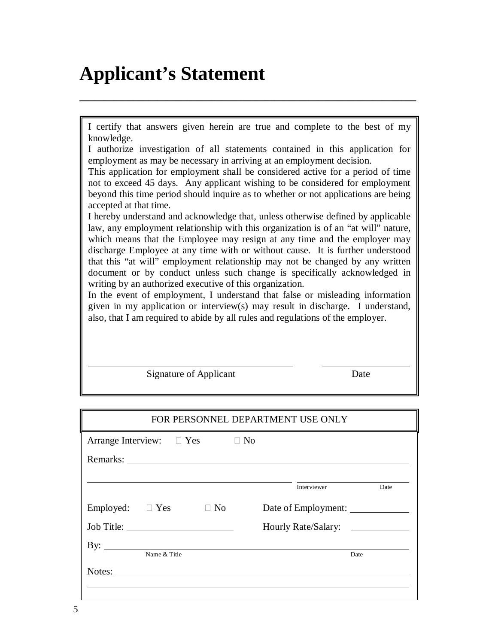### **Applicant's Statement**

I certify that answers given herein are true and complete to the best of my knowledge.

\_\_\_\_\_\_\_\_\_\_\_\_\_\_\_\_\_\_\_\_\_\_\_\_\_\_\_\_\_\_\_\_\_\_\_\_\_\_\_\_\_\_\_\_\_\_\_\_\_\_\_\_\_\_\_\_\_\_\_\_\_\_\_\_\_\_\_\_\_

I authorize investigation of all statements contained in this application for employment as may be necessary in arriving at an employment decision.

This application for employment shall be considered active for a period of time not to exceed 45 days. Any applicant wishing to be considered for employment beyond this time period should inquire as to whether or not applications are being accepted at that time.

I hereby understand and acknowledge that, unless otherwise defined by applicable law, any employment relationship with this organization is of an "at will" nature, which means that the Employee may resign at any time and the employer may discharge Employee at any time with or without cause. It is further understood that this "at will" employment relationship may not be changed by any written document or by conduct unless such change is specifically acknowledged in writing by an authorized executive of this organization.

In the event of employment, I understand that false or misleading information given in my application or interview(s) may result in discharge. I understand, also, that I am required to abide by all rules and regulations of the employer.

| <b>Signature of Applicant</b> | Date |
|-------------------------------|------|
|-------------------------------|------|

| FOR PERSONNEL DEPARTMENT USE ONLY |              |                                                                                                 |  |                     |      |
|-----------------------------------|--------------|-------------------------------------------------------------------------------------------------|--|---------------------|------|
|                                   |              | Arrange Interview: $\Box$ Yes $\Box$ No                                                         |  |                     |      |
|                                   |              |                                                                                                 |  |                     |      |
|                                   |              |                                                                                                 |  | Interviewer         | Date |
| Employed: $\square$ Yes           |              | $\Box$ No                                                                                       |  | Date of Employment: |      |
|                                   |              |                                                                                                 |  | Hourly Rate/Salary: |      |
| By: $\qquad \qquad$               |              |                                                                                                 |  |                     |      |
|                                   | Name & Title | Notes: $\frac{1}{\sqrt{1-\frac{1}{2}}\sqrt{1-\frac{1}{2}}\left(\frac{1}{2}-\frac{1}{2}\right)}$ |  |                     | Date |
|                                   |              |                                                                                                 |  |                     |      |